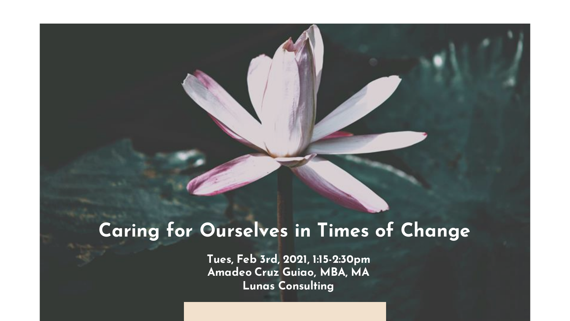#### **Caring for Ourselves in Times of Change**

**Tues, Feb 3rd, 2021, 1:15-2:30pm Amadeo Cruz Guiao, MBA, MA Lunas Consulting**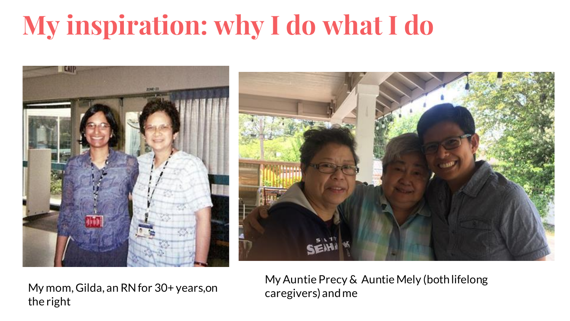# **My inspiration: why I do what I do**





My mom, Gilda, an RN for 30+ years,on the right

My Auntie Precy & Auntie Mely (both lifelong caregivers) and me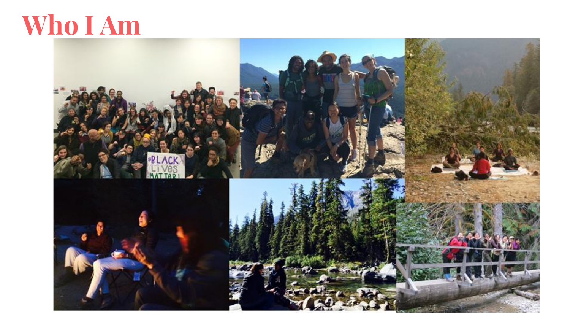### **Who I Am**

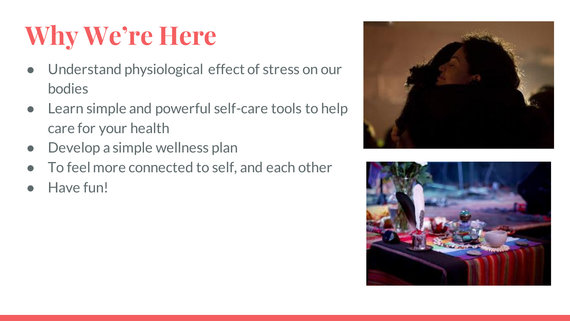# **Why We're Here**

- Understand physiological effect of stress on our bodies
- Learn simple and powerful self-care tools to help care for your health
- Develop a simple wellness plan
- To feel more connected to self, and each other
- Have fun!



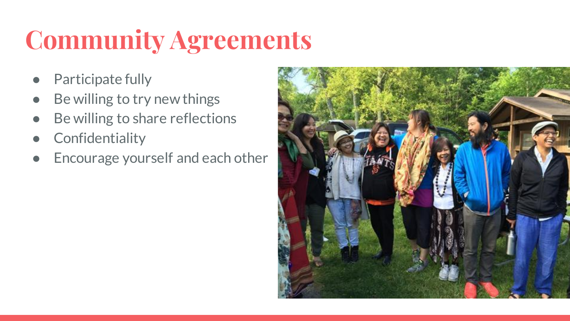# **Community Agreements**

- Participate fully
- Be willing to try new things
- Be willing to share reflections
- **Confidentiality**
- Encourage yourself and each other

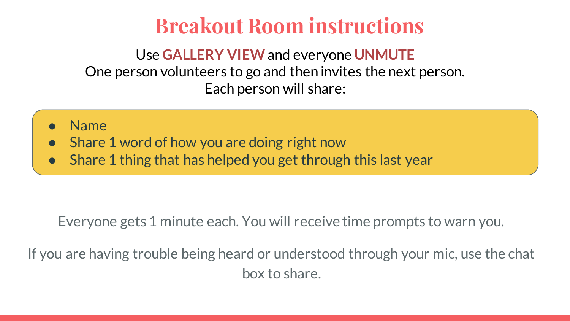#### **Breakout Room instructions**

Use **GALLERY VIEW**and everyone **UNMUTE** One person volunteers to go and then invites the next person. Each person will share:

- **Name**
- Share 1 word of how you are doing right now
- Share 1 thing that has helped you get through this last year

Everyone gets 1 minute each. You will receive time prompts to warn you.

If you are having trouble being heard or understood through your mic, use the chat box to share.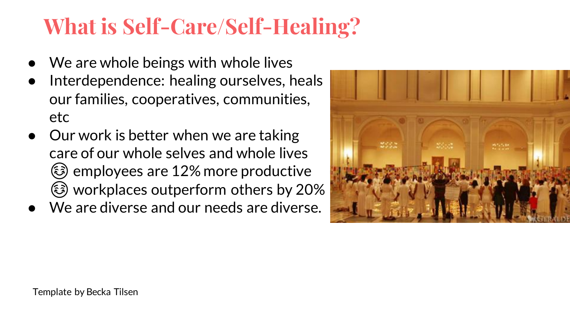### **What is Self-Care/Self-Healing?**

- We are whole beings with whole lives
- Interdependence: healing ourselves, heals our families, cooperatives, communities, etc
- Our work is better when we are taking care of our whole selves and whole lives ☺employees are 12% more productive ☺workplaces outperform others by 20%
- We are diverse and our needs are diverse.

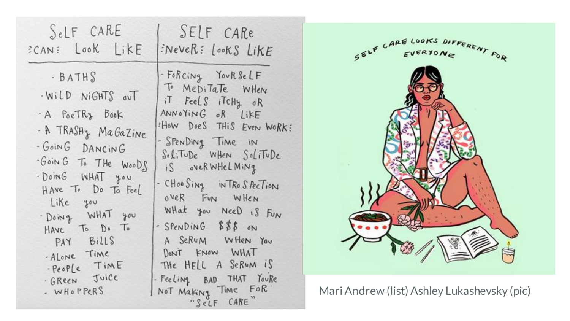| SeLF CARE                                                                                                                                                                                                                                                                            | SELF CARe                                                                                                                                                                                                                                                                                                                                                                                                            |
|--------------------------------------------------------------------------------------------------------------------------------------------------------------------------------------------------------------------------------------------------------------------------------------|----------------------------------------------------------------------------------------------------------------------------------------------------------------------------------------------------------------------------------------------------------------------------------------------------------------------------------------------------------------------------------------------------------------------|
| ECAN: Look LikE                                                                                                                                                                                                                                                                      | FNeveR: LookS LikE                                                                                                                                                                                                                                                                                                                                                                                                   |
| · BATHS<br>- WILD NIGHTS OUT<br>A POETRY BOOK<br>- A TRASHY MaGazine<br>- GOING DANCING<br>Goin G To THE WOODS<br>- DoinG WHAT you<br>HAVE To Do To Feel<br>Like you<br>· Doing WHAT you<br>Have To Do To<br>PAY Bills<br>-ALONE TIME<br>-People TIME<br>· GREEN JUICE<br>- WHOPPERS | - Forcing YoukseLF<br>To Meditate WHen<br>it Feels itchy or<br>ANNOYING OR LIKE<br>How Does THIS Even WoRK:<br>- SpenDing Time in<br>$Self. T\noDe When Sol. T\noDe$<br>is overwhelming<br>- CHOOSING INTROSPECTION<br>over Fun WHEN<br>What you Need is Fun<br>- SPENDING \$\$\$ ON<br>A SERUM WHEN YOU<br>DON'T KNOW WHAT<br>THE HELL A SERUM IS<br>- Feeling BAD THAT Youke<br>Not Making Time FOR<br>"SeLF CARE" |



Mari Andrew (list) Ashley Lukashevsky (pic)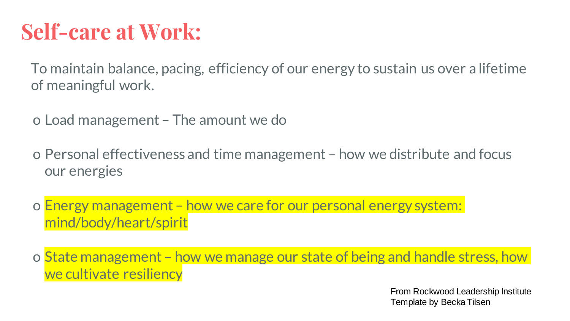### **Self-care at Work:**

To maintain balance, pacing, efficiency of our energy to sustain us over a lifetime of meaningful work.

o Load management – The amount we do

o Personal effectiveness and time management – how we distribute and focus our energies

o Energy management – how we care for our personal energy system: mind/body/heart/spirit

o State management – how we manage our state of being and handle stress, how we cultivate resiliency

> From Rockwood Leadership Institute Template by Becka Tilsen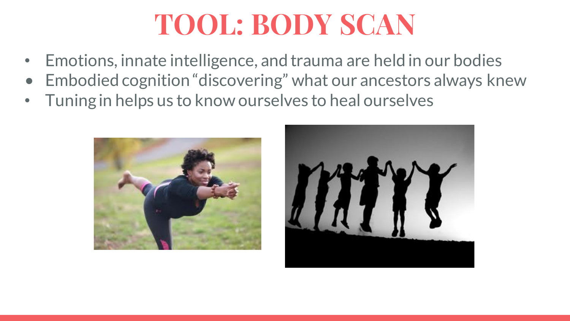# **TOOL: BODY SCAN**

- Emotions, innate intelligence, and trauma are held in our bodies
- Embodied cognition "discovering" what our ancestors always knew
- Tuning in helps us to know ourselves to heal ourselves



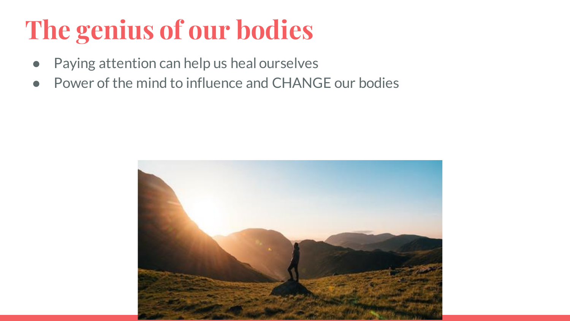# **The genius of our bodies**

- Paying attention can help us heal ourselves
- Power of the mind to influence and CHANGE our bodies

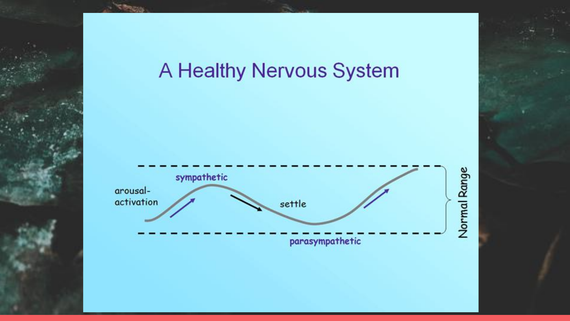#### A Healthy Nervous System

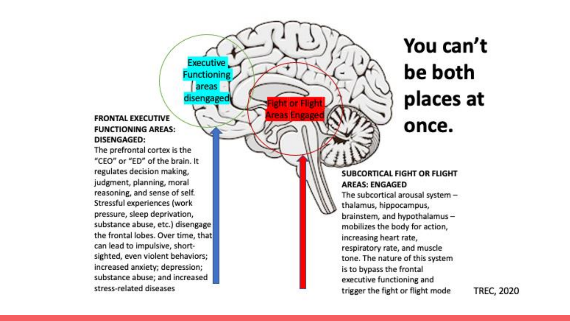#### **FRONTAL EXECUTIVE FUNCTIONING AREAS: DISENGAGED:**

Executive.

**Functioning** areas

disengaged

The prefrontal cortex is the "CEO" or "ED" of the brain. It regulates decision making, judgment, planning, moral reasoning, and sense of self. Stressful experiences (work pressure, sleep deprivation, substance abuse, etc.) disengage the frontal lobes. Over time, that can lead to impulsive, shortsighted, even violent behaviors; increased anxiety; depression; substance abuse; and increased stress-related diseases

### You can't be both places at once.

#### SUBCORTICAL FIGHT OR FLIGHT **AREAS: ENGAGED**

The subcortical arousal system thalamus, hippocampus, brainstem, and hypothalamusmobilizes the body for action, increasing heart rate, respiratory rate, and muscle tone. The nature of this system is to bypass the frontal executive functioning and trigger the fight or flight mode

**TREC, 2020**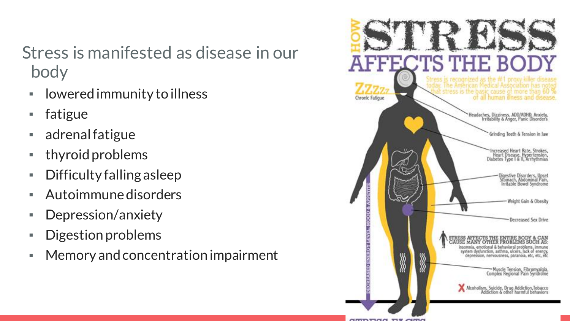#### Stress is manifested as disease in our body

- lowered immunity to illness
- fatigue
- adrenal fatigue
- thyroid problems
- Difficulty falling asleep
- Autoimmune disorders
- Depression/anxiety
- Digestion problems
- Memory and concentration impairment

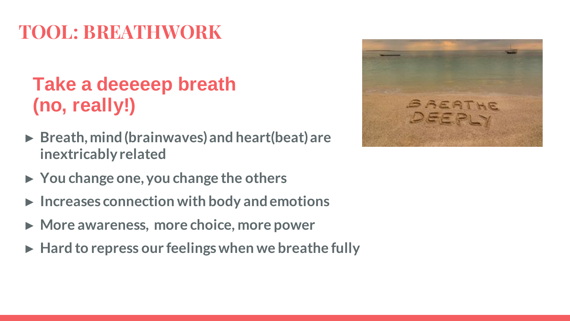#### **TOOL: BREATHWORK**

#### **Take a deeeeep breath (no, really!)**

- ► **Breath, mind (brainwaves) and heart(beat) are inextricably related**
- ► **You change one, you change the others**
- ► **Increases connection with body and emotions**
- ► **More awareness, more choice, more power**
- ► **Hard to repress our feelings when we breathe fully**

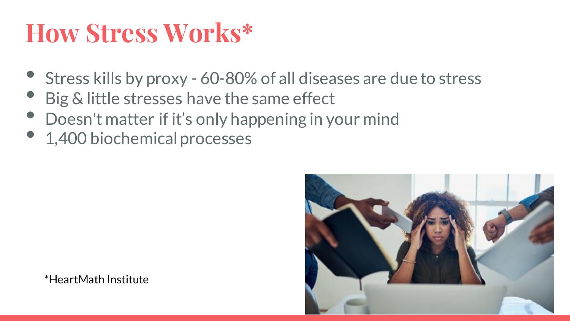### **How Stress Works\***

- Stress kills by proxy 60-80% of all diseases are due to stress
- Big & little stresses have the same effect
- Doesn't matter if it's only happening in your mind
- 1,400 biochemical processes



\*HeartMath Institute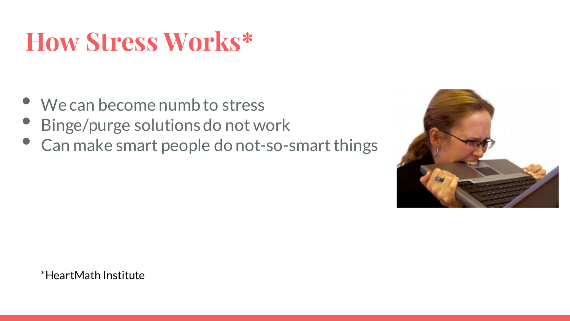# **How Stress Works\***

- We can become numb to stress
- Binge/purge solutions do not work
- Can make smart people do not-so-smart things



\*HeartMath Institute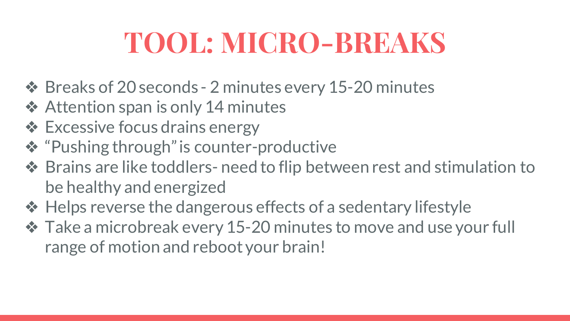# **TOOL: MICRO-BREAKS**

- ❖ Breaks of 20 seconds 2 minutes every 15-20 minutes
- **❖ Attention span is only 14 minutes**
- ❖ Excessive focus drains energy
- ❖ "Pushing through" is counter-productive
- ❖ Brains are like toddlers- need to flip between rest and stimulation to be healthy and energized
- ❖ Helps reverse the dangerous effects of a sedentary lifestyle
- ❖ Take a microbreak every 15-20 minutes to move and use your full range of motion and reboot your brain!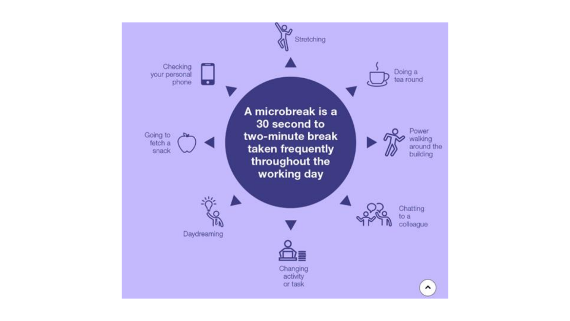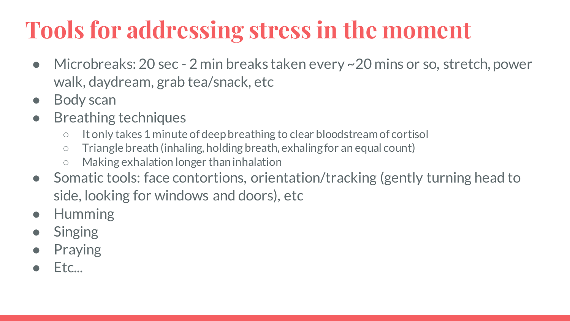### **Tools for addressing stress in the moment**

- Microbreaks: 20 sec 2 min breaks taken every ~20 mins or so, stretch, power walk, daydream, grab tea/snack, etc
- **Body scan**
- **Breathing techniques** 
	- It only takes 1 minute of deep breathing to clear bloodstream of cortisol
	- Triangle breath (inhaling, holding breath, exhaling for an equal count)
	- Making exhalation longer than inhalation
- Somatic tools: face contortions, orientation/tracking (gently turning head to side, looking for windows and doors), etc
- **Humming**
- **Singing**
- **Praying**
- Etc...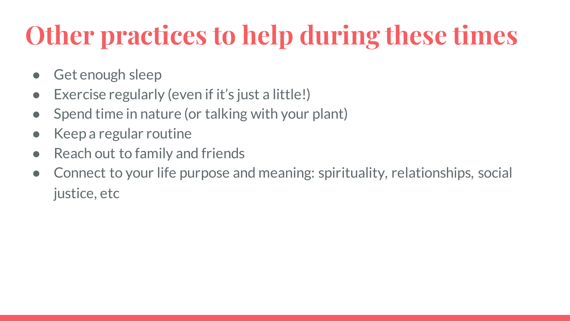# **Other practices to help during these times**

- Get enough sleep
- Exercise regularly (even if it's just a little!)
- Spend time in nature (or talking with your plant)
- Keep a regular routine
- Reach out to family and friends
- Connect to your life purpose and meaning: spirituality, relationships, social justice, etc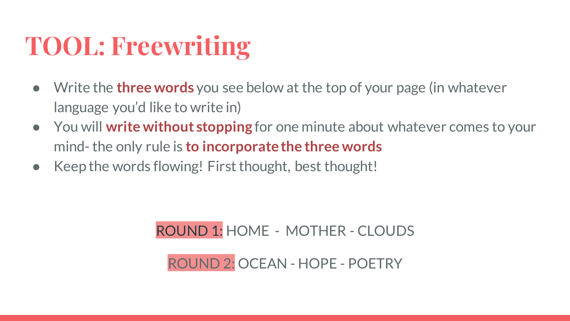### **TOOL: Freewriting**

- Write the **three words** you see below at the top of your page (in whatever language you'd like to write in)
- You will **write without stopping** for one minute about whatever comes to your mind- the only rule is **to incorporate the three words**
- Keep the words flowing! First thought, best thought!

#### ROUND 1: HOME - MOTHER - CLOUDS

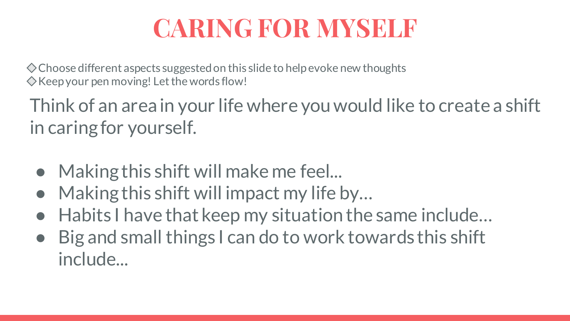### **CARING FOR MYSELF**

Choose different aspects suggested on this slide to help evoke new thoughts  $\Diamond$  Keep your pen moving! Let the words flow!

Think of an area in your life where you would like to create a shift in caring for yourself.

- Making this shift will make me feel...
- Making this shift will impact my life by...
- Habits I have that keep my situation the same include...
- Big and small things I can do to work towards this shift include...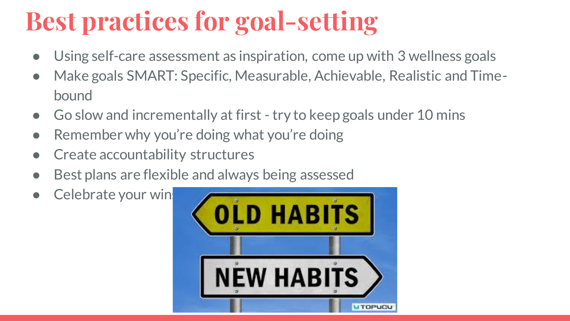# **Best practices for goal-setting**

- Using self-care assessment as inspiration, come up with 3 wellness goals
- Make goals SMART: Specific, Measurable, Achievable, Realistic and Timebound
- Go slow and incrementally at first try to keep goals under 10 mins
- Remember why you're doing what you're doing
- Create accountability structures
- Best plans are flexible and always being assessed
- Celebrate your win

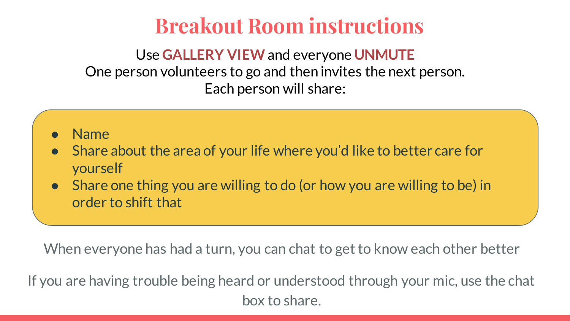#### **Breakout Room instructions**

Use **GALLERY VIEW**and everyone **UNMUTE** One person volunteers to go and then invites the next person. Each person will share:

- **Name**
- Share about the area of your life where you'd like to better care for yourself
- Share one thing you are willing to do (or how you are willing to be) in order to shift that

When everyone has had a turn, you can chat to get to know each other better

If you are having trouble being heard or understood through your mic, use the chat box to share.